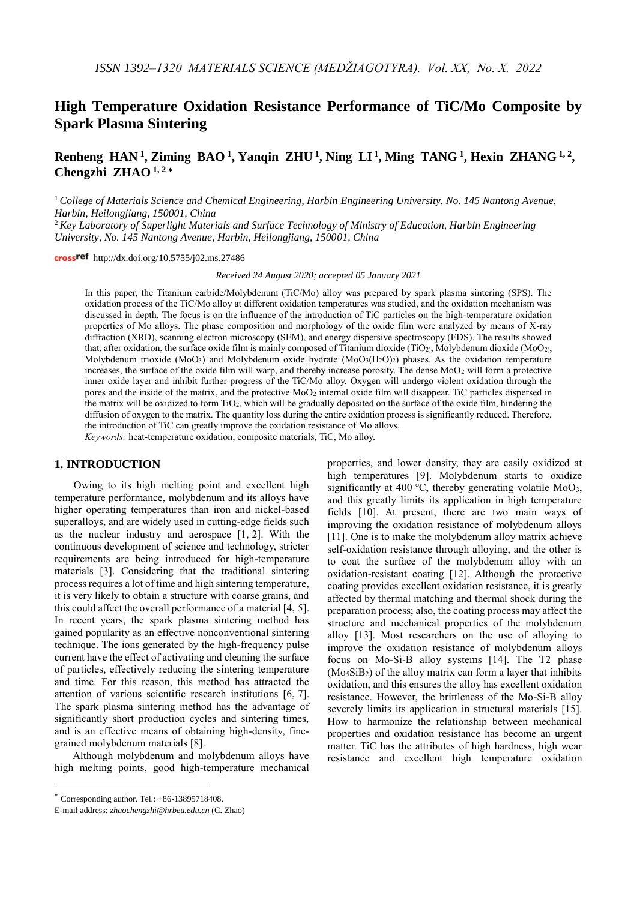# **High Temperature Oxidation Resistance Performance of TiC/Mo Composite by Spark Plasma Sintering**

## Renheng HAN<sup>1</sup>, Ziming BAO<sup>1</sup>, Yanqin ZHU<sup>1</sup>, Ning LI<sup>1</sup>, Ming TANG<sup>1</sup>, Hexin ZHANG<sup>1,2</sup>, **Chengzhi ZHAO 1, <sup>2</sup>**

<sup>1</sup> *College of Materials Science and Chemical Engineering, Harbin Engineering University, No. 145 Nantong Avenue, Harbin, Heilongjiang, 150001, China*

<sup>2</sup> *Key Laboratory of Superlight Materials and Surface Technology of Ministry of Education, Harbin Engineering University, No. 145 Nantong Avenue, Harbin, Heilongjiang, 150001, China*

crossref http://dx.doi.org/10.5755/j02.ms.27486

*Received 24 August 2020; accepted 05 January 2021*

In this paper, the Titanium carbide/Molybdenum (TiC/Mo) alloy was prepared by spark plasma sintering (SPS). The oxidation process of the TiC/Mo alloy at different oxidation temperatures was studied, and the oxidation mechanism was discussed in depth. The focus is on the influence of the introduction of TiC particles on the high-temperature oxidation properties of Mo alloys. The phase composition and morphology of the oxide film were analyzed by means of X-ray diffraction (XRD), scanning electron microscopy (SEM), and energy dispersive spectroscopy (EDS). The results showed that, after oxidation, the surface oxide film is mainly composed of Titanium dioxide (TiO<sub>2</sub>), Molybdenum dioxide (MoO<sub>2</sub>), Molybdenum trioxide (MoO<sub>3</sub>) and Molybdenum oxide hydrate (MoO<sub>3</sub>(H<sub>2</sub>O<sub>)2</sub>) phases. As the oxidation temperature increases, the surface of the oxide film will warp, and thereby increase porosity. The dense MoO<sup>2</sup> will form a protective inner oxide layer and inhibit further progress of the TiC/Mo alloy. Oxygen will undergo violent oxidation through the pores and the inside of the matrix, and the protective MoO<sup>2</sup> internal oxide film will disappear. TiC particles dispersed in the matrix will be oxidized to form TiO2, which will be gradually deposited on the surface of the oxide film, hindering the diffusion of oxygen to the matrix. The quantity loss during the entire oxidation process is significantly reduced. Therefore, the introduction of TiC can greatly improve the oxidation resistance of Mo alloys.

*Keywords:* heat-temperature oxidation, composite materials, TiC, Mo alloy.

#### **1. INTRODUCTION**

Owing to its high melting point and excellent high temperature performance, molybdenum and its alloys have higher operating temperatures than iron and nickel-based superalloys, and are widely used in cutting-edge fields such as the nuclear industry and aerospace [1, 2]. With the continuous development of science and technology, stricter requirements are being introduced for high-temperature materials [3]. Considering that the traditional sintering process requires a lot of time and high sintering temperature, it is very likely to obtain a structure with coarse grains, and this could affect the overall performance of a material [4, 5]. In recent years, the spark plasma sintering method has gained popularity as an effective nonconventional sintering technique. The ions generated by the high-frequency pulse current have the effect of activating and cleaning the surface of particles, effectively reducing the sintering temperature and time. For this reason, this method has attracted the attention of various scientific research institutions [6, 7]. The spark plasma sintering method has the advantage of significantly short production cycles and sintering times, and is an effective means of obtaining high-density, finegrained molybdenum materials [8].

Although molybdenum and molybdenum alloys have high melting points, good high-temperature mechanical

<u>.</u>

properties, and lower density, they are easily oxidized at high temperatures [9]. Molybdenum starts to oxidize significantly at 400 °C, thereby generating volatile MoO<sub>3</sub>, and this greatly limits its application in high temperature fields [10]. At present, there are two main ways of improving the oxidation resistance of molybdenum alloys [11]. One is to make the molybdenum alloy matrix achieve self-oxidation resistance through alloying, and the other is to coat the surface of the molybdenum alloy with an oxidation-resistant coating [12]. Although the protective coating provides excellent oxidation resistance, it is greatly affected by thermal matching and thermal shock during the preparation process; also, the coating process may affect the structure and mechanical properties of the molybdenum alloy [13]. Most researchers on the use of alloying to improve the oxidation resistance of molybdenum alloys focus on Mo-Si-B alloy systems [14]. The T2 phase  $(Mo<sub>5</sub>SiB<sub>2</sub>)$  of the alloy matrix can form a layer that inhibits oxidation, and this ensures the alloy has excellent oxidation resistance. However, the brittleness of the Mo-Si-B alloy severely limits its application in structural materials [15]. How to harmonize the relationship between mechanical properties and oxidation resistance has become an urgent matter. TiC has the attributes of high hardness, high wear resistance and excellent high temperature oxidation

 $*$  Corresponding author. Tel.:  $+86-13895718408$ .

E-mail address: *zhaochengzhi@hrbeu.edu.cn* (C. Zhao)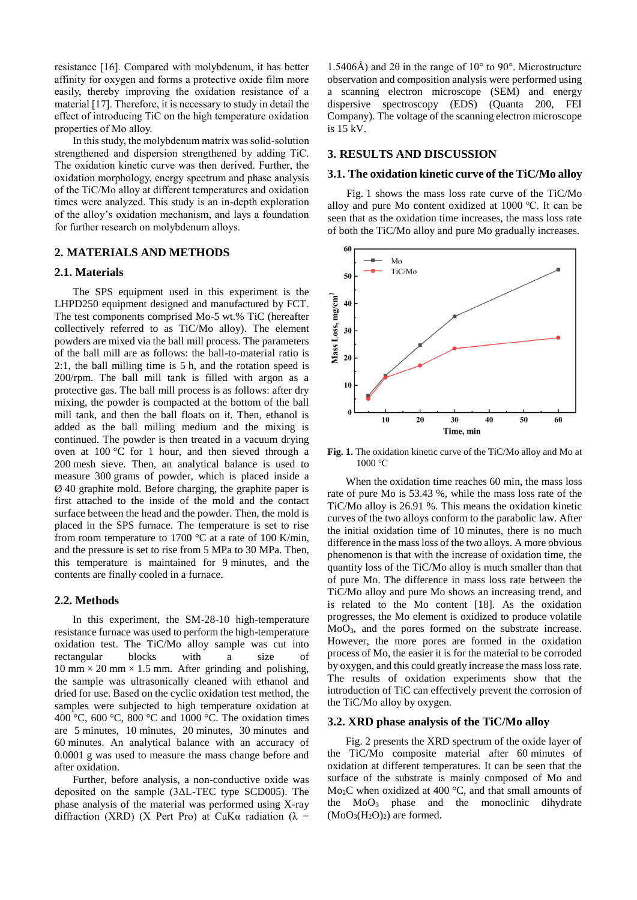resistance [16]. Compared with molybdenum, it has better affinity for oxygen and forms a protective oxide film more easily, thereby improving the oxidation resistance of a material [17]. Therefore, it is necessary to study in detail the effect of introducing TiC on the high temperature oxidation properties of Mo alloy.

In this study, the molybdenum matrix was solid-solution strengthened and dispersion strengthened by adding TiC. The oxidation kinetic curve was then derived. Further, the oxidation morphology, energy spectrum and phase analysis of the TiC/Mo alloy at different temperatures and oxidation times were analyzed. This study is an in-depth exploration of the alloy's oxidation mechanism, and lays a foundation for further research on molybdenum alloys.

## **2. MATERIALS AND METHODS**

#### **2.1. Materials**

The SPS equipment used in this experiment is the LHPD250 equipment designed and manufactured by FCT. The test components comprised Mo-5 wt.% TiC (hereafter collectively referred to as TiC/Mo alloy). The element powders are mixed via the ball mill process. The parameters of the ball mill are as follows: the ball-to-material ratio is 2:1, the ball milling time is 5 h, and the rotation speed is 200/rpm. The ball mill tank is filled with argon as a protective gas. The ball mill process is as follows: after dry mixing, the powder is compacted at the bottom of the ball mill tank, and then the ball floats on it. Then, ethanol is added as the ball milling medium and the mixing is continued. The powder is then treated in a vacuum drying oven at 100 °C for 1 hour, and then sieved through a 200 mesh sieve. Then, an analytical balance is used to measure 300 grams of powder, which is placed inside a Ø 40 graphite mold. Before charging, the graphite paper is first attached to the inside of the mold and the contact surface between the head and the powder. Then, the mold is placed in the SPS furnace. The temperature is set to rise from room temperature to 1700  $\degree$ C at a rate of 100 K/min, and the pressure is set to rise from 5 MPa to 30 MPa. Then, this temperature is maintained for 9 minutes, and the contents are finally cooled in a furnace.

#### **2.2. Methods**

In this experiment, the SM-28-10 high-temperature resistance furnace was used to perform the high-temperature oxidation test. The TiC/Mo alloy sample was cut into rectangular blocks with a size of 10 mm  $\times$  20 mm  $\times$  1.5 mm. After grinding and polishing, the sample was ultrasonically cleaned with ethanol and dried for use. Based on the cyclic oxidation test method, the samples were subjected to high temperature oxidation at 400 °C, 600 °C, 800 °C and 1000 °C. The oxidation times are 5 minutes, 10 minutes, 20 minutes, 30 minutes and 60 minutes. An analytical balance with an accuracy of 0.0001 g was used to measure the mass change before and after oxidation.

Further, before analysis, a non-conductive oxide was deposited on the sample (3ΔL-TEC type SCD005). The phase analysis of the material was performed using X-ray diffraction (XRD) (X Pert Pro) at CuK $\alpha$  radiation ( $\lambda$  =

1.5406Å) and 2θ in the range of 10° to 90°. Microstructure observation and composition analysis were performed using a scanning electron microscope (SEM) and energy dispersive spectroscopy (EDS) (Quanta 200, FEI Company). The voltage of the scanning electron microscope is 15 kV.

#### **3. RESULTS AND DISCUSSION**

## **3.1. The oxidation kinetic curve of the TiC/Mo alloy**

Fig. 1 shows the mass loss rate curve of the TiC/Mo alloy and pure Mo content oxidized at 1000 ℃. It can be seen that as the oxidation time increases, the mass loss rate of both the TiC/Mo alloy and pure Mo gradually increases.



**Fig. 1.** The oxidation kinetic curve of the TiC/Mo alloy and Mo at 1000 °C

When the oxidation time reaches 60 min, the mass loss rate of pure Mo is 53.43 %, while the mass loss rate of the TiC/Mo alloy is 26.91 %. This means the oxidation kinetic curves of the two alloys conform to the parabolic law. After the initial oxidation time of 10 minutes, there is no much difference in the mass loss of the two alloys. A more obvious phenomenon is that with the increase of oxidation time, the quantity loss of the TiC/Mo alloy is much smaller than that of pure Mo. The difference in mass loss rate between the TiC/Mo alloy and pure Mo shows an increasing trend, and is related to the Mo content [18]. As the oxidation progresses, the Mo element is oxidized to produce volatile MoO<sub>3</sub>, and the pores formed on the substrate increase. However, the more pores are formed in the oxidation process of Mo, the easier it is for the material to be corroded by oxygen, and this could greatly increase the mass loss rate. The results of oxidation experiments show that the introduction of TiC can effectively prevent the corrosion of the TiC/Mo alloy by oxygen.

#### **3.2. XRD phase analysis of the TiC/Mo alloy**

Fig. 2 presents the XRD spectrum of the oxide layer of the TiC/Mo composite material after 60 minutes of oxidation at different temperatures. It can be seen that the surface of the substrate is mainly composed of Mo and Mo<sub>2</sub>C when oxidized at 400  $^{\circ}$ C, and that small amounts of the  $MoO<sub>3</sub>$  phase and the monoclinic dihydrate  $(MoO<sub>3</sub>(H<sub>2</sub>O)<sub>2</sub>)$  are formed.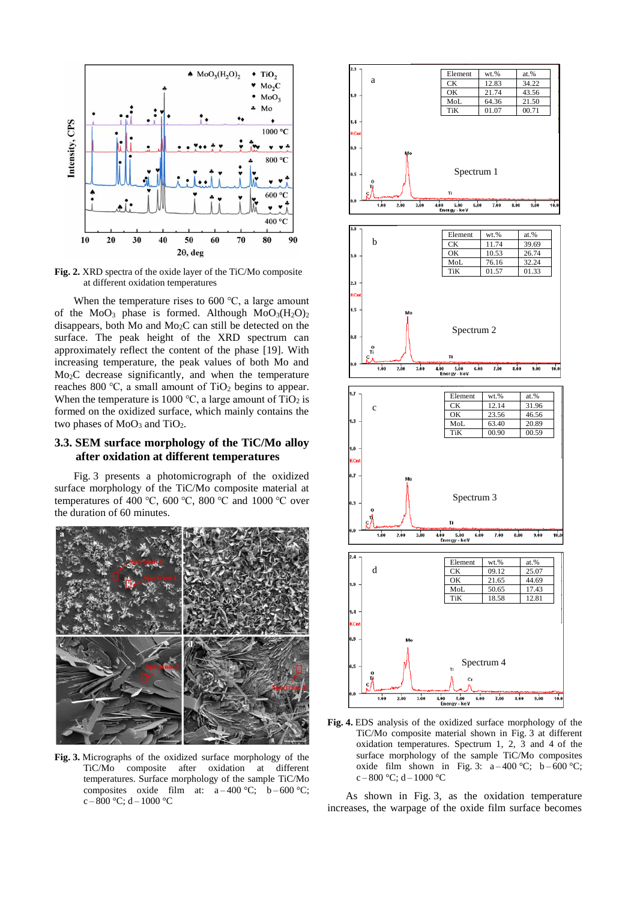

**Fig. 2.** XRD spectra of the oxide layer of the TiC/Mo composite at different oxidation temperatures

When the temperature rises to 600 ℃, a large amount of the  $MoO<sub>3</sub>$  phase is formed. Although  $MoO<sub>3</sub>(H<sub>2</sub>O)<sub>2</sub>$ disappears, both Mo and Mo2C can still be detected on the surface. The peak height of the XRD spectrum can approximately reflect the content of the phase [19]. With increasing temperature, the peak values of both Mo and Mo<sub>2</sub>C decrease significantly, and when the temperature reaches 800 °C, a small amount of  $TiO<sub>2</sub>$  begins to appear. When the temperature is 1000 °C, a large amount of TiO<sub>2</sub> is formed on the oxidized surface, which mainly contains the two phases of  $MoO<sub>3</sub>$  and  $TiO<sub>2</sub>$ .

## **3.3. SEM surface morphology of the TiC/Mo alloy after oxidation at different temperatures**

Fig. 3 presents a photomicrograph of the oxidized surface morphology of the TiC/Mo composite material at temperatures of 400 °C, 600 °C, 800 °C and 1000 °C over the duration of 60 minutes.



**Fig. 3.** Micrographs of the oxidized surface morphology of the TiC/Mo composite after oxidation at different temperatures. Surface morphology of the sample TiC/Mo composites oxide film at:  $a-400 °C$ ;  $b-600 °C$ ;  $c - 800$  °C; d – 1000 °C



**Fig. 4.** EDS analysis of the oxidized surface morphology of the TiC/Mo composite material shown in Fig. 3 at different oxidation temperatures. Spectrum 1, 2, 3 and 4 of the surface morphology of the sample TiC/Mo composites oxide film shown in Fig. 3:  $a-400 °C$ ;  $b-600 °C$ ;  $c - 800$  °C; d – 1000 °C

As shown in Fig. 3, as the oxidation temperature increases, the warpage of the oxide film surface becomes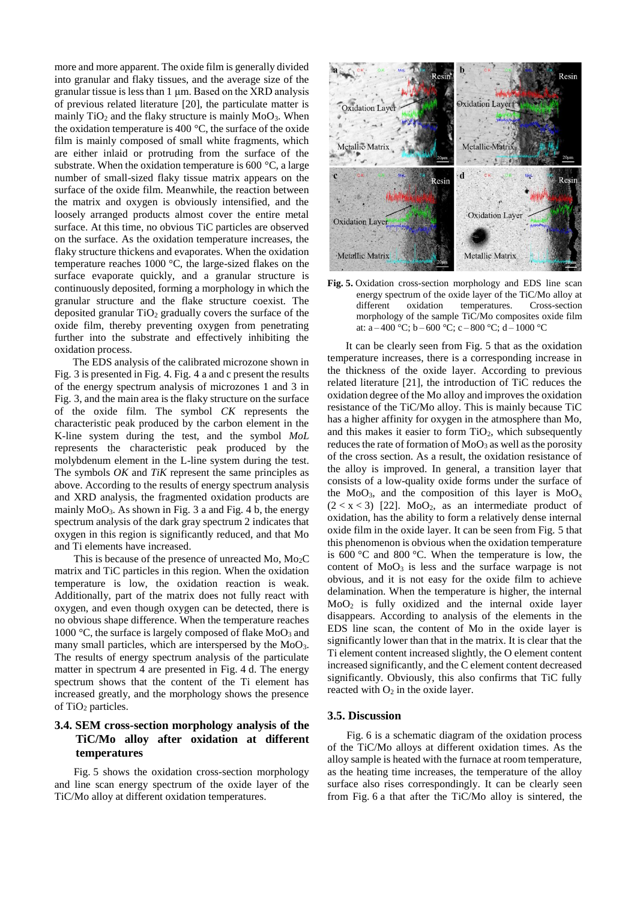more and more apparent. The oxide film is generally divided into granular and flaky tissues, and the average size of the granular tissue is less than 1 μm. Based on the XRD analysis of previous related literature [20], the particulate matter is mainly  $TiO<sub>2</sub>$  and the flaky structure is mainly  $MoO<sub>3</sub>$ . When the oxidation temperature is 400 $\degree$ C, the surface of the oxide film is mainly composed of small white fragments, which are either inlaid or protruding from the surface of the substrate. When the oxidation temperature is 600 °C, a large number of small-sized flaky tissue matrix appears on the surface of the oxide film. Meanwhile, the reaction between the matrix and oxygen is obviously intensified, and the loosely arranged products almost cover the entire metal surface. At this time, no obvious TiC particles are observed on the surface. As the oxidation temperature increases, the flaky structure thickens and evaporates. When the oxidation temperature reaches 1000 °C, the large-sized flakes on the surface evaporate quickly, and a granular structure is continuously deposited, forming a morphology in which the granular structure and the flake structure coexist. The deposited granular  $TiO<sub>2</sub>$  gradually covers the surface of the oxide film, thereby preventing oxygen from penetrating further into the substrate and effectively inhibiting the oxidation process.

The EDS analysis of the calibrated microzone shown in Fig. 3 is presented in Fig. 4. Fig. 4 a and c present the results of the energy spectrum analysis of microzones 1 and 3 in Fig. 3, and the main area is the flaky structure on the surface of the oxide film. The symbol *CK* represents the characteristic peak produced by the carbon element in the K-line system during the test, and the symbol *MoL* represents the characteristic peak produced by the molybdenum element in the L-line system during the test. The symbols *OK* and *TiK* represent the same principles as above. According to the results of energy spectrum analysis and XRD analysis, the fragmented oxidation products are mainly  $MoO<sub>3</sub>$ . As shown in Fig. 3 a and Fig. 4 b, the energy spectrum analysis of the dark gray spectrum 2 indicates that oxygen in this region is significantly reduced, and that Mo and Ti elements have increased.

This is because of the presence of unreacted Mo,  $Mo<sub>2</sub>C$ matrix and TiC particles in this region. When the oxidation temperature is low, the oxidation reaction is weak. Additionally, part of the matrix does not fully react with oxygen, and even though oxygen can be detected, there is no obvious shape difference. When the temperature reaches 1000  $\degree$ C, the surface is largely composed of flake MoO<sub>3</sub> and many small particles, which are interspersed by the  $MoO<sub>3</sub>$ . The results of energy spectrum analysis of the particulate matter in spectrum 4 are presented in Fig. 4 d. The energy spectrum shows that the content of the Ti element has increased greatly, and the morphology shows the presence of TiO<sup>2</sup> particles.

## **3.4. SEM cross-section morphology analysis of the TiC/Mo alloy after oxidation at different temperatures**

Fig. 5 shows the oxidation cross-section morphology and line scan energy spectrum of the oxide layer of the TiC/Mo alloy at different oxidation temperatures.



**Fig. 5.** Oxidation cross-section morphology and EDS line scan energy spectrum of the oxide layer of the TiC/Mo alloy at different oxidation temperatures. Cross-section morphology of the sample TiC/Mo composites oxide film at: a – 400 °C; b – 600 °C; c – 800 °C; d – 1000 °C

It can be clearly seen from Fig. 5 that as the oxidation temperature increases, there is a corresponding increase in the thickness of the oxide layer. According to previous related literature [21], the introduction of TiC reduces the oxidation degree of the Mo alloy and improves the oxidation resistance of the TiC/Mo alloy. This is mainly because TiC has a higher affinity for oxygen in the atmosphere than Mo, and this makes it easier to form  $TiO<sub>2</sub>$ , which subsequently reduces the rate of formation of  $MoO<sub>3</sub>$  as well as the porosity of the cross section. As a result, the oxidation resistance of the alloy is improved. In general, a transition layer that consists of a low-quality oxide forms under the surface of the MoO<sub>3</sub>, and the composition of this layer is  $MoO<sub>x</sub>$  $(2 < x < 3)$  [22]. MoO<sub>2</sub>, as an intermediate product of oxidation, has the ability to form a relatively dense internal oxide film in the oxide layer. It can be seen from Fig. 5 that this phenomenon is obvious when the oxidation temperature is 600 °C and 800 °C. When the temperature is low, the content of  $MoO<sub>3</sub>$  is less and the surface warpage is not obvious, and it is not easy for the oxide film to achieve delamination. When the temperature is higher, the internal MoO<sup>2</sup> is fully oxidized and the internal oxide layer disappears. According to analysis of the elements in the EDS line scan, the content of Mo in the oxide layer is significantly lower than that in the matrix. It is clear that the Ti element content increased slightly, the O element content increased significantly, and the C element content decreased significantly. Obviously, this also confirms that TiC fully reacted with  $O_2$  in the oxide layer.

#### **3.5. Discussion**

Fig. 6 is a schematic diagram of the oxidation process of the TiC/Mo alloys at different oxidation times. As the alloy sample is heated with the furnace at room temperature, as the heating time increases, the temperature of the alloy surface also rises correspondingly. It can be clearly seen from Fig. 6 a that after the TiC/Mo alloy is sintered, the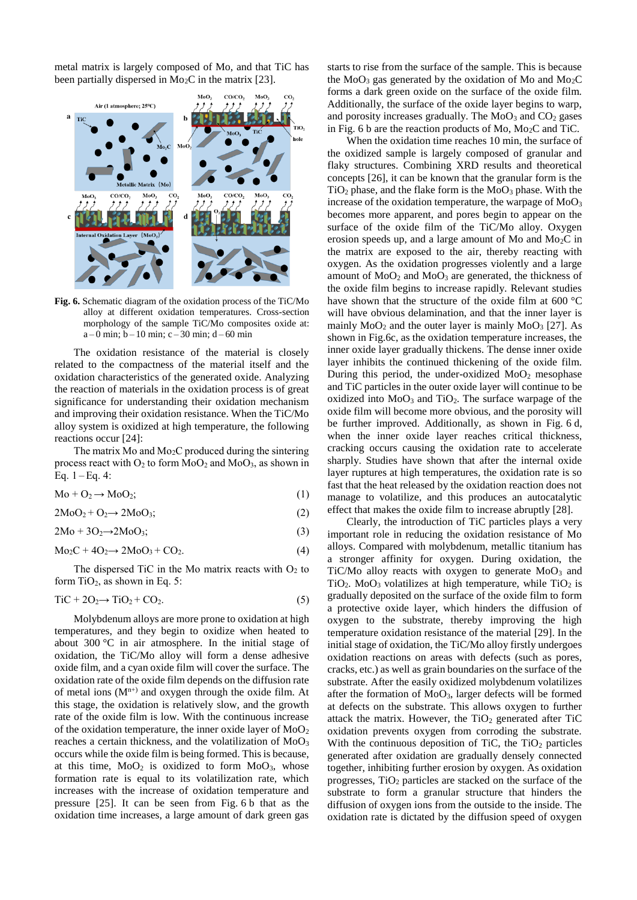metal matrix is largely composed of Mo, and that TiC has been partially dispersed in  $Mo<sub>2</sub>C$  in the matrix [23].



**Fig. 6.** Schematic diagram of the oxidation process of the TiC/Mo alloy at different oxidation temperatures. Cross-section morphology of the sample TiC/Mo composites oxide at:  $a - 0$  min;  $b - 10$  min;  $c - 30$  min;  $d - 60$  min

The oxidation resistance of the material is closely related to the compactness of the material itself and the oxidation characteristics of the generated oxide. Analyzing the reaction of materials in the oxidation process is of great significance for understanding their oxidation mechanism and improving their oxidation resistance. When the TiC/Mo alloy system is oxidized at high temperature, the following reactions occur [24]:

The matrix Mo and  $Mo<sub>2</sub>C$  produced during the sintering process react with  $O_2$  to form  $MoO_2$  and  $MoO_3$ , as shown in Eq.  $1 - Eq. 4$ :

$$
Mo + O2 \rightarrow MoO2;
$$
 (1)

 $2\text{MoO}_2 + \text{O}_2 \rightarrow 2\text{MoO}_3;$  (2)

$$
2Mo + 3O2 \rightarrow 2MoO3; \tag{3}
$$

$$
Mo_2C + 4O_2 \rightarrow 2MoO_3 + CO_2. \tag{4}
$$

The dispersed TiC in the Mo matrix reacts with  $O<sub>2</sub>$  to form  $TiO<sub>2</sub>$ , as shown in Eq. 5:

$$
TiC + 2O_2 \rightarrow TiO_2 + CO_2. \tag{5}
$$

Molybdenum alloys are more prone to oxidation at high temperatures, and they begin to oxidize when heated to about 300 °C in air atmosphere. In the initial stage of oxidation, the TiC/Mo alloy will form a dense adhesive oxide film, and a cyan oxide film will cover the surface. The oxidation rate of the oxide film depends on the diffusion rate of metal ions  $(M<sup>n+</sup>)$  and oxygen through the oxide film. At this stage, the oxidation is relatively slow, and the growth rate of the oxide film is low. With the continuous increase of the oxidation temperature, the inner oxide layer of  $MoO<sub>2</sub>$ reaches a certain thickness, and the volatilization of MoO<sup>3</sup> occurs while the oxide film is being formed. This is because, at this time,  $MoO<sub>2</sub>$  is oxidized to form  $MoO<sub>3</sub>$ , whose formation rate is equal to its volatilization rate, which increases with the increase of oxidation temperature and pressure [25]. It can be seen from Fig. 6 b that as the oxidation time increases, a large amount of dark green gas

starts to rise from the surface of the sample. This is because the  $MoO<sub>3</sub>$  gas generated by the oxidation of Mo and  $Mo<sub>2</sub>C$ forms a dark green oxide on the surface of the oxide film. Additionally, the surface of the oxide layer begins to warp, and porosity increases gradually. The  $MoO<sub>3</sub>$  and  $CO<sub>2</sub>$  gases in Fig. 6 b are the reaction products of Mo,  $Mo<sub>2</sub>C$  and TiC.

When the oxidation time reaches 10 min, the surface of the oxidized sample is largely composed of granular and flaky structures. Combining XRD results and theoretical concepts [26], it can be known that the granular form is the  $TiO<sub>2</sub>$  phase, and the flake form is the  $MoO<sub>3</sub>$  phase. With the increase of the oxidation temperature, the warpage of MoO<sup>3</sup> becomes more apparent, and pores begin to appear on the surface of the oxide film of the TiC/Mo alloy. Oxygen erosion speeds up, and a large amount of Mo and Mo2C in the matrix are exposed to the air, thereby reacting with oxygen. As the oxidation progresses violently and a large amount of  $MoO<sub>2</sub>$  and  $MoO<sub>3</sub>$  are generated, the thickness of the oxide film begins to increase rapidly. Relevant studies have shown that the structure of the oxide film at 600 °C will have obvious delamination, and that the inner layer is mainly  $MoO<sub>2</sub>$  and the outer layer is mainly  $MoO<sub>3</sub>$  [27]. As shown in Fig.6c, as the oxidation temperature increases, the inner oxide layer gradually thickens. The dense inner oxide layer inhibits the continued thickening of the oxide film. During this period, the under-oxidized  $MoO<sub>2</sub>$  mesophase and TiC particles in the outer oxide layer will continue to be oxidized into  $MoO<sub>3</sub>$  and TiO<sub>2</sub>. The surface warpage of the oxide film will become more obvious, and the porosity will be further improved. Additionally, as shown in Fig. 6 d, when the inner oxide layer reaches critical thickness, cracking occurs causing the oxidation rate to accelerate sharply. Studies have shown that after the internal oxide layer ruptures at high temperatures, the oxidation rate is so fast that the heat released by the oxidation reaction does not manage to volatilize, and this produces an autocatalytic effect that makes the oxide film to increase abruptly [28].

Clearly, the introduction of TiC particles plays a very important role in reducing the oxidation resistance of Mo alloys. Compared with molybdenum, metallic titanium has a stronger affinity for oxygen. During oxidation, the TiC/Mo alloy reacts with oxygen to generate  $MoO<sub>3</sub>$  and TiO<sub>2</sub>. MoO<sub>3</sub> volatilizes at high temperature, while  $TiO<sub>2</sub>$  is gradually deposited on the surface of the oxide film to form a protective oxide layer, which hinders the diffusion of oxygen to the substrate, thereby improving the high temperature oxidation resistance of the material [29]. In the initial stage of oxidation, the TiC/Mo alloy firstly undergoes oxidation reactions on areas with defects (such as pores, cracks, etc.) as well as grain boundaries on the surface of the substrate. After the easily oxidized molybdenum volatilizes after the formation of MoO3, larger defects will be formed at defects on the substrate. This allows oxygen to further attack the matrix. However, the  $TiO<sub>2</sub>$  generated after TiC oxidation prevents oxygen from corroding the substrate. With the continuous deposition of TiC, the  $TiO<sub>2</sub>$  particles generated after oxidation are gradually densely connected together, inhibiting further erosion by oxygen. As oxidation progresses,  $TiO<sub>2</sub>$  particles are stacked on the surface of the substrate to form a granular structure that hinders the diffusion of oxygen ions from the outside to the inside. The oxidation rate is dictated by the diffusion speed of oxygen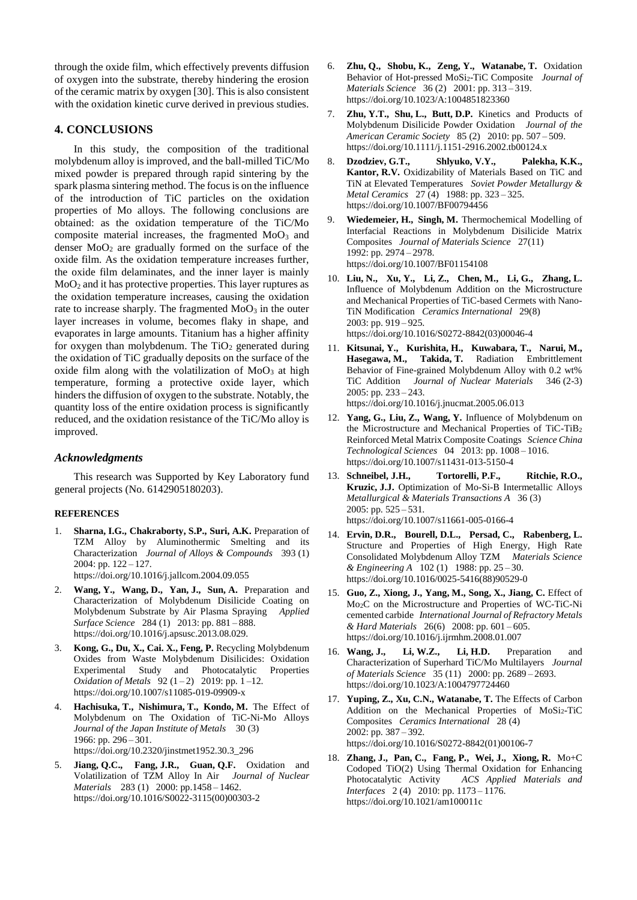through the oxide film, which effectively prevents diffusion of oxygen into the substrate, thereby hindering the erosion of the ceramic matrix by oxygen [30]. This is also consistent with the oxidation kinetic curve derived in previous studies.

## **4. CONCLUSIONS**

In this study, the composition of the traditional molybdenum alloy is improved, and the ball-milled TiC/Mo mixed powder is prepared through rapid sintering by the spark plasma sintering method. The focus is on the influence of the introduction of TiC particles on the oxidation properties of Mo alloys. The following conclusions are obtained: as the oxidation temperature of the TiC/Mo composite material increases, the fragmented  $MoO<sub>3</sub>$  and denser  $MoO<sub>2</sub>$  are gradually formed on the surface of the oxide film. As the oxidation temperature increases further, the oxide film delaminates, and the inner layer is mainly  $MoO<sub>2</sub>$  and it has protective properties. This layer ruptures as the oxidation temperature increases, causing the oxidation rate to increase sharply. The fragmented  $MoO<sub>3</sub>$  in the outer layer increases in volume, becomes flaky in shape, and evaporates in large amounts. Titanium has a higher affinity for oxygen than molybdenum. The  $TiO<sub>2</sub>$  generated during the oxidation of TiC gradually deposits on the surface of the oxide film along with the volatilization of  $MoO<sub>3</sub>$  at high temperature, forming a protective oxide layer, which hinders the diffusion of oxygen to the substrate. Notably, the quantity loss of the entire oxidation process is significantly reduced, and the oxidation resistance of the TiC/Mo alloy is improved.

## *Acknowledgments*

This research was Supported by Key Laboratory fund general projects (No. 6142905180203).

#### **REFERENCES**

- 1. **Sharna, I.G., Chakraborty, S.P., Suri, A.K.** Preparation of TZM Alloy by Aluminothermic Smelting and its Characterization *Journal of Alloys & Compounds* 393 (1) 2004: pp. 122 – 127. https://doi.org/10.1016/j.jallcom.2004.09.055
- 2. **Wang, Y., Wang, D., Yan, J., Sun, A.** Preparation and Characterization of Molybdenum Disilicide Coating on Molybdenum Substrate by Air Plasma Spraying *Applied Surface Science* 284 (1) 2013: pp. 881 – 888. https://doi.org/10.1016/j.apsusc.2013.08.029.
- 3. **Kong, G., Du, X., Cai. X., Feng, P.** Recycling Molybdenum Oxides from Waste Molybdenum Disilicides: Oxidation Experimental Study and Photocatalytic Properties *Oxidation of Metals* 92 (1-2) 2019: pp. 1-12. https://doi.org/10.1007/s11085-019-09909-x
- 4. **Hachisuka, T., Nishimura, T., Kondo, M.** The Effect of Molybdenum on The Oxidation of TiC-Ni-Mo Alloys *Journal of the Japan Institute of Metals* 30 (3) 1966: pp. 296 – 301. https://doi.org/10.2320/jinstmet1952.30.3\_296
- 5. **Jiang, Q.C., Fang, J.R., Guan, Q.F.** Oxidation and Volatilization of TZM Alloy In Air *Journal of Nuclear Materials* 283 (1) 2000: pp.1458 – 1462. https://doi.org/10.1016/S0022-3115(00)00303-2
- 6. **Zhu, Q., Shobu, K., Zeng, Y., Watanabe, T.** Oxidation Behavior of Hot-pressed MoSi2-TiC Composite *Journal of Materials Science* 36 (2) 2001: pp. 313 – 319. https://doi.org/10.1023/A:1004851823360
- 7. **Zhu, Y.T., Shu, L., Butt, D.P.** Kinetics and Products of Molybdenum Disilicide Powder Oxidation *Journal of the American Ceramic Society* 85 (2) 2010: pp. 507 – 509. https://doi.org/10.1111/j.1151-2916.2002.tb00124.x
- 8. **Dzodziev, G.T., Shlyuko, V.Y., Palekha, K.K., Kantor, R.V.** Oxidizability of Materials Based on TiC and TiN at Elevated Temperatures *Soviet Powder Metallurgy & Metal Ceramics* 27 (4) 1988: pp. 323 – 325. https://doi.org/10.1007/BF00794456
- 9. **Wiedemeier, H., Singh, M.** Thermochemical Modelling of Interfacial Reactions in Molybdenum Disilicide Matrix Composites *Journal of Materials Science* 27(11) 1992: pp. 2974 – 2978. https://doi.org/10.1007/BF01154108
- 10. **Liu, N., Xu, Y., Li, Z., Chen, M., Li, G., Zhang, L.** Influence of Molybdenum Addition on the Microstructure and Mechanical Properties of TiC-based Cermets with Nano-TiN Modification *Ceramics International* 29(8) 2003: pp. 919 – 925. https://doi.org/10.1016/S0272-8842(03)00046-4
- 11. **Kitsunai, Y., Kurishita, H., Kuwabara, T., Narui, M., Hasegawa, M., Takida, T.** Radiation Embrittlement Behavior of Fine-grained Molybdenum Alloy with 0.2 wt% TiC Addition *Journal of Nuclear Materials* 346 (2-3) 2005: pp. 233 – 243. https://doi.org/10.1016/j.jnucmat.2005.06.013
- 12. **Yang, G., Liu, Z., Wang, Y.** Influence of Molybdenum on the Microstructure and Mechanical Properties of TiC-TiB<sup>2</sup> Reinforced Metal Matrix Composite Coatings *Science China Technological Sciences* 04 2013: pp. 1008 – 1016. https://doi.org/10.1007/s11431-013-5150-4
- 13. **Schneibel, J.H., Tortorelli, P.F., Ritchie, R.O., Kruzic, J.J.** Optimization of Mo-Si-B Intermetallic Alloys *Metallurgical & Materials Transactions A* 36 (3) 2005: pp. 525 – 531. https://doi.org/10.1007/s11661-005-0166-4
- 14. **Ervin, D.R., Bourell, D.L., Persad, C., Rabenberg, L.** Structure and Properties of High Energy, High Rate Consolidated Molybdenum Alloy TZM *Materials Science & Engineering A* 102 (1) 1988: pp. 25 – 30. https://doi.org/10.1016/0025-5416(88)90529-0
- 15. **Guo, Z., Xiong, J., Yang, M., Song, X., Jiang, C.** Effect of Mo2C on the Microstructure and Properties of WC-TiC-Ni cemented carbide *International Journal of Refractory Metals & Hard Materials* 26(6) 2008: pp. 601 – 605. https://doi.org/10.1016/j.ijrmhm.2008.01.007
- 16. **Wang, J., Li, W.Z., Li, H.D.** Preparation and Characterization of Superhard TiC/Mo Multilayers *Journal of Materials Science* 35 (11) 2000: pp. 2689 – 2693. https://doi.org/10.1023/A:1004797724460
- 17. **Yuping, Z., Xu, C.N., Watanabe, T.** The Effects of Carbon Addition on the Mechanical Properties of  $MoSi<sub>2</sub>-TiC$ Composites *Ceramics International* 28 (4) 2002: pp. 387 – 392. https://doi.org/10.1016/S0272-8842(01)00106-7
- 18. **Zhang, J., Pan, C., Fang, P., Wei, J., Xiong, R.** Mo+C Codoped TiO(2) Using Thermal Oxidation for Enhancing Photocatalytic Activity *ACS Applied Materials and Interfaces* 2 (4) 2010: pp. 1173 – 1176. https://doi.org/10.1021/am100011c